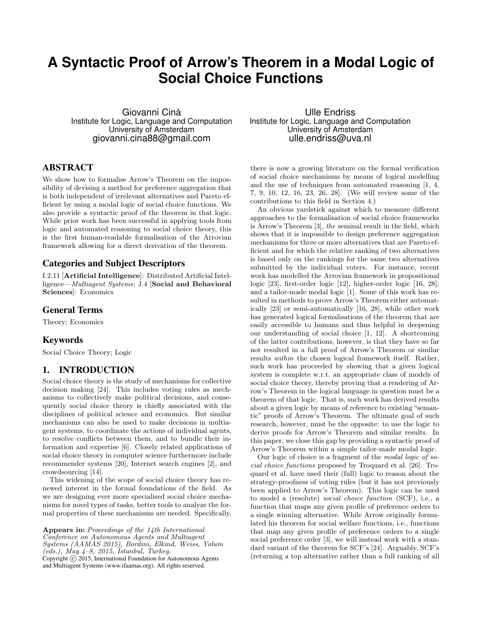# **A Syntactic Proof of Arrow's Theorem in a Modal Logic of Social Choice Functions**

Giovanni Cinà Institute for Logic, Language and Computation University of Amsterdam giovanni.cina88@gmail.com

# ABSTRACT

We show how to formalise Arrow's Theorem on the impossibility of devising a method for preference aggregation that is both independent of irrelevant alternatives and Pareto efficient by using a modal logic of social choice functions. We also provide a syntactic proof of the theorem in that logic. While prior work has been successful in applying tools from logic and automated reasoning to social choice theory, this is the first human-readable formalisation of the Arrovian framework allowing for a direct derivation of the theorem.

## Categories and Subject Descriptors

I.2.11 [Artificial Intelligence]: Distributed Artificial Intelligence—Multiagent Systems; J.4 [Social and Behavioral Sciences]: Economics

## General Terms

Theory; Economics

## Keywords

Social Choice Theory; Logic

## 1. INTRODUCTION

Social choice theory is the study of mechanisms for collective decision making [24]. This includes voting rules as mechanisms to collectively make political decisions, and consequently social choice theory is chiefly associated with the disciplines of political science and economics. But similar mechanisms can also be used to make decisions in multiagent systems, to coordinate the actions of individual agents, to resolve conflicts between them, and to bundle their information and expertise [6]. Closely related applications of social choice theory in computer science furthermore include recommender systems [20], Internet search engines [2], and crowdsourcing [14].

This widening of the scope of social choice theory has renewed interest in the formal foundations of the field. As we are designing ever more specialised social choice mechanisms for novel types of tasks, better tools to analyze the formal properties of these mechanisms are needed. Specifically,

Appears in: Proceedings of the 14th International Conference on Autonomous Agents and Multiagent Systems (AAMAS 2015), Bordini, Elkind, Weiss, Yolum  $(\text{eds.}),$   $\text{May }$  4-8, 2015, Istanbul, Turkey. Copyright  $\overline{c}$  2015, International Foundation for Autonomous Agents and Multiagent Systems (www.ifaamas.org). All rights reserved.

Ulle Endriss Institute for Logic, Language and Computation University of Amsterdam ulle.endriss@uva.nl

there is now a growing literature on the formal verification of social choice mechanisms by means of logical modelling and the use of techniques from automated reasoning [1, 4, 7, 9, 10, 12, 16, 23, 26, 28]. (We will review some of the contributions to this field in Section 4.)

An obvious yardstick against which to measure different approaches to the formalisation of social choice frameworks is Arrow's Theorem [3], the seminal result in the field, which shows that it is impossible to design preference aggregation mechanisms for three or more alternatives that are Pareto efficient and for which the relative ranking of two alternatives is based only on the rankings for the same two alternatives submitted by the individual voters. For instance, recent work has modelled the Arrovian framework in propositional logic [23], first-order logic [12], higher-order logic [16, 28], and a tailor-made modal logic [1]. Some of this work has resulted in methods to prove Arrow's Theorem either automatically [23] or semi-automatically [16, 28], while other work has generated logical formalisations of the theorem that are easily accessible to humans and thus helpful in deepening our understanding of social choice [1, 12]. A shortcoming of the latter contributions, however, is that they have so far not resulted in a full proof of Arrow's Theorem or similar results within the chosen logical framework itself. Rather, such work has proceeded by showing that a given logical system is complete w.r.t. an appropriate class of models of social choice theory, thereby proving that a rendering of Arrow's Theorem in the logical language in question must be a theorem of that logic. That is, such work has derived results about a given logic by means of reference to existing "semantic" proofs of Arrow's Theorem. The ultimate goal of such research, however, must be the opposite: to use the logic to derive proofs for Arrow's Theorem and similar results. In this paper, we close this gap by providing a syntactic proof of Arrow's Theorem within a simple tailor-made modal logic.

Our logic of choice is a fragment of the modal logic of social choice functions proposed by Troquard et al. [26]. Troquard et al. have used their (full) logic to reason about the strategy-proofness of voting rules (but it has not previously been applied to Arrow's Theorem). This logic can be used to model a (resolute) social choice function (SCF), i.e., a function that maps any given profile of preference orders to a single winning alternative. While Arrow originally formulated his theorem for social welfare functions, i.e., functions that map any given profile of preference orders to a single social preference order [3], we will instead work with a standard variant of the theorem for SCF's [24]. Arguably, SCF's (returning a top alternative rather than a full ranking of all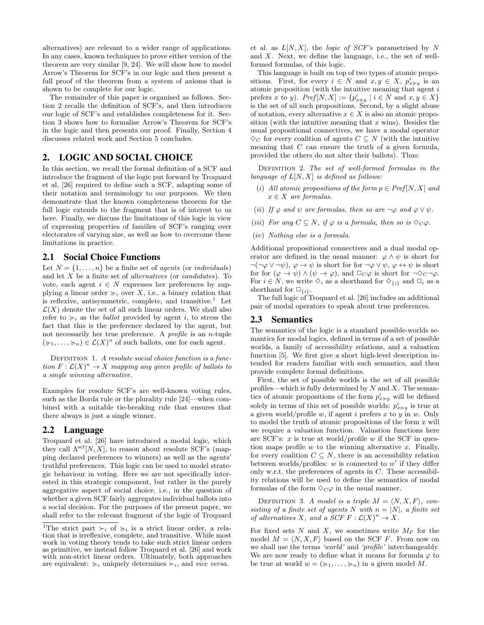alternatives) are relevant to a wider range of applications. In any cases, known techniques to prove either version of the theorem are very similar [9, 24]. We will show how to model Arrow's Theorem for SCF's in our logic and then present a full proof of the theorem from a system of axioms that is shown to be complete for our logic.

The remainder of this paper is organised as follows. Section 2 recalls the definition of SCF's, and then introduces our logic of SCF's and establishes completeness for it. Section 3 shows how to formalise Arrow's Theorem for SCF's in the logic and then presents our proof. Finally, Section 4 discusses related work and Section 5 concludes.

## 2. LOGIC AND SOCIAL CHOICE

In this section, we recall the formal definition of a SCF and introduce the fragment of the logic put forward by Troquard et al. [26] required to define such a SCF, adapting some of their notation and terminology to our purposes. We then demonstrate that the known completeness theorem for the full logic extends to the fragment that is of interest to us here. Finally, we discuss the limitations of this logic in view of expressing properties of families of SCF's ranging over electorates of varying size, as well as how to overcome these limitations in practice.

#### 2.1 Social Choice Functions

Let  $N = \{1, \ldots, n\}$  be a finite set of agents (or individuals) and let  $X$  be a finite set of *alternatives* (or *candidates*). To vote, each agent  $i \in N$  expresses her preferences by supplying a linear order  $\succcurlyeq_i$  over X, i.e., a binary relation that is reflexive, antisymmetric, complete, and transitive.<sup>1</sup> Let  $\mathcal{L}(X)$  denote the set of all such linear orders. We shall also refer to  $\succcurlyeq_i$  as the *ballot* provided by agent i, to stress the fact that this is the preference declared by the agent, but not necessarily her true preference. A *profile* is an  $n$ -tuple  $(\succcurlyeq_1,\ldots,\succcurlyeq_n)\in \mathcal{L}(X)^n$  of such ballots, one for each agent.

DEFINITION 1. A resolute social choice function is a function  $F: \mathcal{L}(X)^n \to X$  mapping any given profile of ballots to a single winning alternative.

Examples for resolute SCF's are well-known voting rules, such as the Borda rule or the plurality rule [24]—when combined with a suitable tie-breaking rule that ensures that there always is just a single winner.

## 2.2 Language

Troquard et al. [26] have introduced a modal logic, which they call  $\Lambda^{\operatorname{scf}}[N,X],$  to reason about resolute SCF's (mapping declared preferences to winners) as well as the agents' truthful preferences. This logic can be used to model strategic behaviour in voting. Here we are not specifically interested in this strategic component, but rather in the purely aggregative aspect of social choice, i.e., in the question of whether a given SCF fairly aggregates individual ballots into a social decision. For the purposes of the present paper, we shall refer to the relevant fragment of the logic of Troquard

et al. as  $L[N, X]$ , the *logic of SCF's* parametrised by N and X. Next, we define the language, i.e., the set of wellformed formulas, of this logic.

This language is built on top of two types of atomic propositions. First, for every  $i \in N$  and  $x, y \in X$ ,  $p_{x \succ y}^i$  is an atomic proposition (with the intuitive meaning that agent  $i$ prefers x to y).  $Pref[N, X] := \{p_{x \succcurlyeq y}^i \mid i \in N \text{ and } x, y \in X\}$ is the set of all such propositions. Second, by a slight abuse of notation, every alternative  $x \in X$  is also an atomic proposition (with the intuitive meaning that  $x$  wins). Besides the usual propositional connectives, we have a modal operator  $\diamond_C$  for every coalition of agents  $C \subseteq N$  (with the intuitive meaning that C can ensure the truth of a given formula, provided the others do not alter their ballots). Thus:

DEFINITION 2. The set of well-formed formulas in the language of  $L[N, X]$  is defined as follows:

- (i) All atomic propositions of the form  $p \in Pref[N, X]$  and  $x \in X$  are formulas.
- (ii) If  $\varphi$  and  $\psi$  are formulas, then so are  $\neg \varphi$  and  $\varphi \vee \psi$ .
- (iii) For any  $C \subseteq N$ , if  $\varphi$  is a formula, then so is  $\diamondsuit_C \varphi$ .
- (iv) Nothing else is a formula.

Additional propositional connectives and a dual modal operator are defined in the usual manner:  $\varphi \wedge \psi$  is short for  $\neg(\neg \varphi \lor \neg \psi), \varphi \rightarrow \psi$  is short for for  $\neg \varphi \lor \psi, \varphi \leftrightarrow \psi$  is short for for  $(\varphi \to \psi) \land (\psi \to \varphi)$ , and  $\Box_C \varphi$  is short for  $\neg \Diamond_C \neg \varphi$ . For  $i \in N$ , we write  $\diamond_i$  as a shorthand for  $\diamond_{i}$  and  $\Box_i$  as a shorthand for  $\square_{\{i\}}$ .

The full logic of Troquard et al. [26] includes an additional pair of modal operators to speak about true preferences.

#### 2.3 Semantics

The semantics of the logic is a standard possible-worlds semantics for modal logics, defined in terms of a set of possible worlds, a family of accessibility relations, and a valuation function [5]. We first give a short high-level description intended for readers familiar with such semantics, and then provide complete formal definitions.

First, the set of possible worlds is the set of all possible profiles—which is fully determined by  $N$  and  $X$ . The semantics of atomic propositions of the form  $p_{x \succ y}^i$  will be defined solely in terms of this set of possible worlds:  $p_{x\geq y}^i$  is true at a given world/profile w, if agent i prefers x to y in w. Only to model the truth of atomic propositions of the form  $x$  will we require a valuation function. Valuation functions here are SCF's:  $x$  is true at world/profile  $w$  if the SCF in question maps profile  $w$  to the winning alternative  $x$ . Finally, for every coalition  $C \subseteq N$ , there is an accessibility relation between worlds/profiles:  $w$  is connected to  $w'$  if they differ only w.r.t. the preferences of agents in C. These accessibility relations will be used to define the semantics of modal formulas of the form  $\Diamond_C \varphi$  in the usual manner.

DEFINITION 3. A model is a triple  $M = \langle N, X, F \rangle$ , consisting of a finite set of agents N with  $n = |N|$ , a finite set of alternatives X, and a  $SCF F : \mathcal{L}(X)^n \to X$ .

For fixed sets N and X, we sometimes write  $M_F$  for the model  $M = \langle N, X, F \rangle$  based on the SCF F. From now on we shall use the terms 'world' and 'profile' interchangeably. We are now ready to define what it means for formula  $\varphi$  to be true at world  $w = (\succcurlyeq_1, \ldots, \succcurlyeq_n)$  in a given model M.

<sup>&</sup>lt;sup>1</sup>The strict part  $\succ_i$  of  $\succ_i$  is a strict linear order, a relation that is irreflexive, complete, and transitive. While most work in voting theory tends to take such strict linear orders as primitive, we instead follow Troquard et al. [26] and work with non-strict linear orders. Ultimately, both approaches are equivalent:  $\succcurlyeq_i$  uniquely determines  $\succ_i$ , and *vice versa*.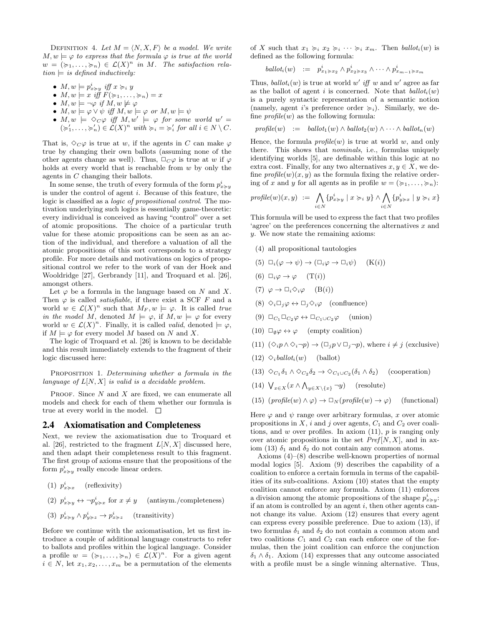DEFINITION 4. Let  $M = \langle N, X, F \rangle$  be a model. We write  $M, w \models \varphi$  to express that the formula  $\varphi$  is true at the world  $w = (\succcurlyeq_1, \ldots, \succcurlyeq_n) \in \mathcal{L}(X)^n$  in M. The satisfaction rela $tion \models is defined inductively:$ 

- $M, w \models p_{x \succcurlyeq y}^i$  iff  $x \succcurlyeq_i y$
- $M, w \models x \text{ iff } F(\succcurlyeq_1, \ldots, \succcurlyeq_n) = x$
- $M, w \models \neg \varphi \text{ if } M, w \not\models \varphi$
- $M, w \models \varphi \lor \psi \text{ iff } M, w \models \varphi \text{ or } M, w \models \psi$
- $M, w \models \Diamond C\varphi \text{ iff } M, w' \models \varphi \text{ for some world } w' =$  $(\succcurlyeq_1', \ldots, \succcurlyeq_n') \in \mathcal{L}(X)^n$  with  $\succcurlyeq_i = \succcurlyeq_i'$  for all  $i \in N \setminus C$ .

That is,  $\Diamond_C \varphi$  is true at w, if the agents in C can make  $\varphi$ true by changing their own ballots (assuming none of the other agents change as well). Thus,  $\Box_C \varphi$  is true at w if  $\varphi$ holds at every world that is reachable from  $w$  by only the agents in C changing their ballots.

In some sense, the truth of every formula of the form  $p_{x \succ y}^i$ is under the control of agent i. Because of this feature, the logic is classified as a logic of propositional control. The motivation underlying such logics is essentially game-theoretic: every individual is conceived as having "control" over a set of atomic propositions. The choice of a particular truth value for these atomic propositions can be seen as an action of the individual, and therefore a valuation of all the atomic propositions of this sort corresponds to a strategy profile. For more details and motivations on logics of propositional control we refer to the work of van der Hoek and Wooldridge [27], Gerbrandy [11], and Troquard et al. [26], amongst others.

Let  $\varphi$  be a formula in the language based on N and X. Then  $\varphi$  is called *satisfiable*, if there exist a SCF F and a world  $w \in \mathcal{L}(X)^n$  such that  $M_F, w \models \varphi$ . It is called true in the model M, denoted  $M \models \varphi$ , if  $M, w \models \varphi$  for every world  $w \in \mathcal{L}(X)^n$ . Finally, it is called *valid*, denoted  $\models \varphi$ , if  $M \models \varphi$  for every model M based on N and X.

The logic of Troquard et al. [26] is known to be decidable and this result immediately extends to the fragment of their logic discussed here:

PROPOSITION 1. Determining whether a formula in the language of  $L[N, X]$  is valid is a decidable problem.

PROOF. Since  $N$  and  $X$  are fixed, we can enumerate all models and check for each of them whether our formula is true at every world in the model.  $\square$ 

#### 2.4 Axiomatisation and Completeness

Next, we review the axiomatisation due to Troquard et al. [26], restricted to the fragment  $L[N, X]$  discussed here, and then adapt their completeness result to this fragment. The first group of axioms ensure that the propositions of the form  $p_{x \succ y}^{i}$  really encode linear orders.

- (1)  $p_{x \succ x}^i$  (reflexivity)
- (2)  $p_{x \succ y}^i \leftrightarrow \neg p_{y \succ x}^i$  for  $x \neq y$  (antisym./completeness)
- (3)  $p_{x \succ y}^i \wedge p_{y \succ z}^i \rightarrow p_{x \succ z}^i$  (transitivity)

Before we continue with the axiomatisation, let us first introduce a couple of additional language constructs to refer to ballots and profiles within the logical language. Consider a profile  $w = (\succcurlyeq_1, \ldots, \succcurlyeq_n) \in \mathcal{L}(X)^n$ . For a given agent  $i \in N$ , let  $x_1, x_2, \ldots, x_m$  be a permutation of the elements of X such that  $x_1 \succcurlyeq_i x_2 \succcurlyeq_i \cdots \succcurlyeq_i x_m$ . Then  $\text{ballot}_i(w)$  is defined as the following formula:

$$
ballot_i(w) := p_{x_1 \succ x_2}^i \wedge p_{x_2 \succ x_3}^i \wedge \cdots \wedge p_{x_{m-1} \succ x_m}^i
$$

Thus,  $ballot_i(w)$  is true at world w' iff w and w' agree as far as the ballot of agent i is concerned. Note that  $ballot_i(w)$ is a purely syntactic representation of a semantic notion (namely, agent i's preference order  $\succcurlyeq_i$ ). Similarly, we define  $profile(w)$  as the following formula:

$$
profile(w) := \text{ballot}_1(w) \wedge \text{ballot}_2(w) \wedge \cdots \wedge \text{ballot}_n(w)
$$

Hence, the formula  $profile(w)$  is true at world w, and only there. This shows that nominals, i.e., formulas uniquely identifying worlds [5], are definable within this logic at no extra cost. Finally, for any two alternatives  $x, y \in X$ , we define  $\text{profile}(w)(x, y)$  as the formula fixing the relative ordering of x and y for all agents as in profile  $w = (\succcurlyeq_1, \ldots, \succcurlyeq_n)$ :

$$
\mathit{profile}(w)(x,y) \ := \ \bigwedge_{i \in N} \{p_{x \succcurlyeq y}^i \mid x \succcurlyeq_i y\} \land \bigwedge_{i \in N} \{p_{y \succcurlyeq x}^i \mid y \succcurlyeq_i x\}
$$

This formula will be used to express the fact that two profiles 'agree' on the preferences concerning the alternatives  $x$  and y. We now state the remaining axioms:

- (4) all propositional tautologies
- (5)  $\Box_i(\varphi \to \psi) \to (\Box_i \varphi \to \Box_i \psi)$  (K(i))
- (6)  $\Box_i \varphi \rightarrow \varphi$  (T(i))
- (7)  $\varphi \to \Box_i \Diamond_i \varphi$  (B(i))
- (8)  $\Diamond_i \Box_j \varphi \leftrightarrow \Box_j \Diamond_i \varphi$  (confluence)
- (9)  $\Box_{C_1} \Box_{C_2} \varphi \leftrightarrow \Box_{C_1 \cup C_2} \varphi$  (union)
- (10)  $\Box_{\emptyset} \varphi \leftrightarrow \varphi$  (empty coalition)
- (11)  $(\Diamond_i p \land \Diamond_i \neg p) \rightarrow (\Box_j p \lor \Box_j \neg p)$ , where  $i \neq j$  (exclusive)
- $(12) \diamond_i$ ballot<sub>i</sub> $(w)$  (ballot)
- (13)  $\diamond_{C_1} \delta_1 \wedge \diamond_{C_2} \delta_2 \rightarrow \diamond_{C_1 \cup C_2} (\delta_1 \wedge \delta_2)$  (cooperation)
- (14)  $\bigvee_{x \in X} (x \wedge \bigwedge_{y \in X \setminus \{x\}} \neg y)$  (resolute)
- (15)  $(p \text{rofile}(w) \land \varphi) \rightarrow \Box_N(p \text{rofile}(w) \rightarrow \varphi)$  (functional)

Here  $\varphi$  and  $\psi$  range over arbitrary formulas, x over atomic propositions in  $X$ , i and j over agents,  $C_1$  and  $C_2$  over coalitions, and w over profiles. In axiom  $(11)$ , p is ranging only over atomic propositions in the set  $Pref[N, X]$ , and in axiom (13)  $\delta_1$  and  $\delta_2$  do not contain any common atoms.

Axioms (4)–(8) describe well-known properties of normal modal logics [5]. Axiom (9) describes the capability of a coalition to enforce a certain formula in terms of the capabilities of its sub-coalitions. Axiom (10) states that the empty coalition cannot enforce any formula. Axiom (11) enforces a division among the atomic propositions of the shape  $p_{x \succ y}^i$ : if an atom is controlled by an agent  $i$ , then other agents cannot change its value. Axiom (12) ensures that every agent can express every possible preference. Due to axiom (13), if two formulas  $\delta_1$  and  $\delta_2$  do not contain a common atom and two coalitions  $C_1$  and  $C_2$  can each enforce one of the formulas, then the joint coalition can enforce the conjunction  $\delta_1 \wedge \delta_1$ . Axiom (14) expresses that any outcome associated with a profile must be a single winning alternative. Thus,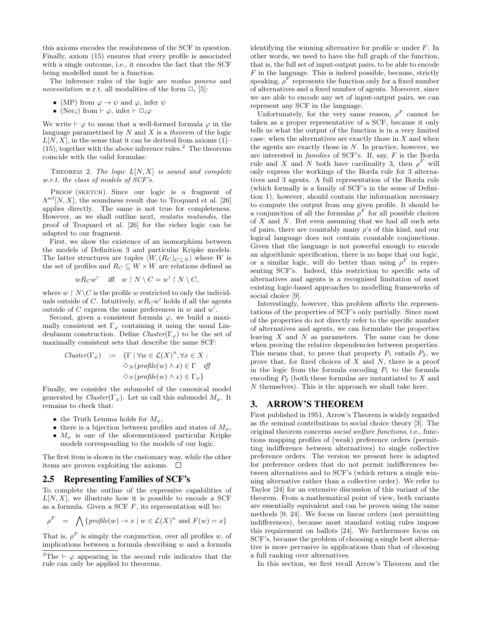this axioms encodes the resoluteness of the SCF in question. Finally, axiom (15) ensures that every profile is associated with a single outcome, i.e., it encodes the fact that the SCF being modelled must be a function.

The inference rules of the logic are modus ponens and necessitation w.r.t. all modalities of the form  $\Box_i$  [5]:

- (MP) from  $\varphi \to \psi$  and  $\varphi$ , infer  $\psi$
- (Nec<sub>i</sub>) from  $\vdash \varphi$ , infer  $\vdash \Box_i \varphi$

We write  $\vdash \varphi$  to mean that a well-formed formula  $\varphi$  in the language parametrised by  $N$  and  $X$  is a theorem of the logic  $L[N, X]$ , in the sense that it can be derived from axioms  $(1)$ –  $(15)$ , together with the above inference rules.<sup>2</sup> The theorems coincide with the valid formulas:

THEOREM 2. The logic  $L[N, X]$  is sound and complete w.r.t. the class of models of SCF's.

PROOF (SKETCH). Since our logic is a fragment of  $\Lambda^{\text{scf}}[N, X]$ , the soundness result due to Troquard et al. [26] applies directly. The same is not true for completeness. However, as we shall outline next, mutatis mutandis, the proof of Troquard et al. [26] for the richer logic can be adapted to our fragment.

First, we show the existence of an isomorphism between the models of Definition 3 and particular Kripke models. The latter structures are tuples  $\langle W, (R_C)_{C\subseteq N} \rangle$  where W is the set of profiles and  $R_C \subseteq W \times W$  are relations defined as

$$
wR_Cw'
$$
 iff  $w \restriction N \setminus C = w' \restriction N \setminus C$ ,

where  $w \restriction N \backslash C$  is the profile w restricted to only the individuals outside of C. Intuitively,  $wR_Cw'$  holds if all the agents outside of C express the same preferences in  $w$  and  $w'$ .

Second, given a consistent formula  $\varphi$ , we build a maximally consistent set  $\Gamma_{\varphi}$  containing it using the usual Lindenbaum construction. Define  $Cluster(\Gamma_{\varphi})$  to be the set of maximally consistent sets that describe the same SCF:

$$
Cluster(\Gamma_{\varphi}) := \{ \Gamma \mid \forall w \in \mathcal{L}(X)^n, \forall x \in X : \varphi_{N}(\text{profile}(w) \land x) \in \Gamma \text{ iff } \varphi_{N}(\text{profile}(w) \land x) \in \Gamma_{\varphi} \}
$$

Finally, we consider the submodel of the canonical model generated by  $Cluster(\Gamma_{\varphi})$ . Let us call this submodel  $M_{\varphi}$ . It remains to check that:

- the Truth Lemma holds for  $M_{\varphi}$ ,
- there is a bijection between profiles and states of  $M_{\varphi}$ ,
- $M_{\varphi}$  is one of the aforementioned particular Kripke models corresponding to the models of our logic.

The first item is shown in the customary way, while the other items are proven exploiting the axioms.  $\Box$ 

#### 2.5 Representing Families of SCF's

To complete the outline of the expressive capabilities of  $L[N, X]$ , we illustrate how it is possible to encode a SCF as a formula. Given a SCF  $F$ , its representation will be:

$$
\rho^F = \bigwedge \{ \text{profile}(w) \to x \mid w \in \mathcal{L}(X)^n \text{ and } F(w) = x \}
$$

That is,  $\rho^F$  is simply the conjunction, over all profiles w, of implications between a formula describing  $w$  and a formula identifying the winning alternative for profile  $w$  under  $F$ . In other words, we need to have the full graph of the function, that is, the full set of input-output pairs, to be able to encode  $F$  in the language. This is indeed possible, because, strictly speaking,  $\rho^F$  represents the function only for a fixed number of alternatives and a fixed number of agents. Moreover, since we are able to encode any set of input-output pairs, we can represent any SCF in the language.

Unfortunately, for the very same reason,  $\rho^F$  cannot be taken as a proper representative of a SCF, because it only tells us what the output of the function is in a very limited case: when the alternatives are exactly those in  $X$  and when the agents are exactly those in  $N$ . In practice, however, we are interested in families of SCF's. If, say, F is the Borda rule and X and N both have cardinality 3, then  $\rho^F$  will only express the workings of the Borda rule for 3 alternatives and 3 agents. A full representation of the Borda rule (which formally is a family of SCF's in the sense of Definition 1), however, should contain the information necessary to compute the output from any given profile. It should be a conjunction of all the formulas  $\rho^F$  for all possible choices of  $X$  and  $N$ . But even assuming that we had all such sets of pairs, there are countably many  $\rho$ 's of this kind, and our logical language does not contain countable conjunctions. Given that the language is not powerful enough to encode an algorithmic specification, there is no hope that our logic, or a similar logic, will do better than using  $\rho^F$  in representing SCF's. Indeed, this restriction to specific sets of alternatives and agents is a recognised limitation of most existing logic-based approaches to modelling frameworks of social choice [9].

Interestingly, however, this problem affects the representations of the properties of SCF's only partially. Since most of the properties do not directly refer to the specific number of alternatives and agents, we can formulate the properties leaving  $X$  and  $N$  as parameters. The same can be done when proving the relative dependencies between properties. This means that, to prove that property  $P_1$  entails  $P_2$ , we prove that, for fixed choices of X and N, there is a proof in the logic from the formula encoding  $P_1$  to the formula encoding  $P_2$  (both these formulas are instantiated to X and  $N$  themselves). This is the approach we shall take here.

## 3. ARROW'S THEOREM

First published in 1951, Arrow's Theorem is widely regarded as the seminal contributions to social choice theory [3]. The original theorem concerns social welfare functions, i.e., functions mapping profiles of (weak) preference orders (permitting indifference between alternatives) to single collective preference orders. The version we present here is adapted for preference orders that do not permit indifferences between alternatives and to SCF's (which return a single winning alternative rather than a collective order). We refer to Taylor [24] for an extensive discussion of this variant of the theorem. From a mathematical point of view, both variants are essentially equivalent and can be proven using the same methods [9, 24]. We focus on linear orders (not permitting indifferences), because most standard voting rules impose this requirement on ballots [24]. We furthermore focus on SCF's, because the problem of choosing a single best alternative is more pervasive in applications than that of choosing a full ranking over alternatives.

In this section, we first recall Arrow's Theorem and the

<sup>&</sup>lt;sup>2</sup>The  $\vdash \varphi$  appearing in the second rule indicates that the rule can only be applied to theorems.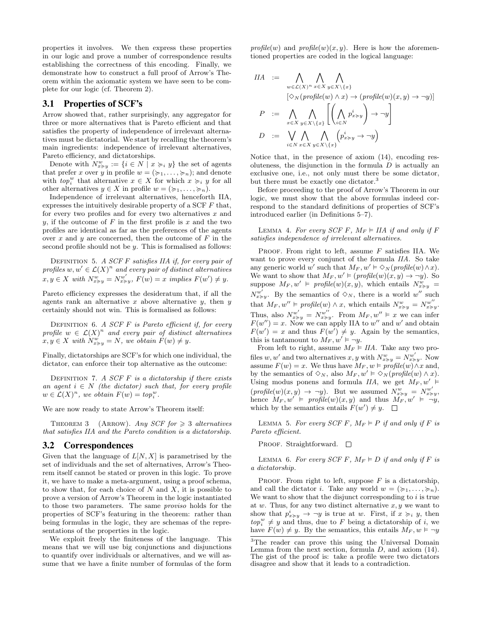properties it involves. We then express these properties in our logic and prove a number of correspondence results establishing the correctness of this encoding. Finally, we demonstrate how to construct a full proof of Arrow's Theorem within the axiomatic system we have seen to be complete for our logic (cf. Theorem 2).

## 3.1 Properties of SCF's

Arrow showed that, rather surprisingly, any aggregator for three or more alternatives that is Pareto efficient and that satisfies the property of independence of irrelevant alternatives must be dictatorial. We start by recalling the theorem's main ingredients: independence of irrelevant alternatives, Pareto efficiency, and dictatorships.

Denote with  $N_{x \succcurlyeq y}^w := \{i \in N \mid x \succcurlyeq_i y\}$  the set of agents that prefer x over y in profile  $w = (\succcurlyeq_1, \ldots, \succcurlyeq_n)$ ; and denote with  $top_i^w$  that alternative  $x \in X$  for which  $x \succcurlyeq_i y$  for all other alternatives  $y \in X$  in profile  $w = (\succcurlyeq_1, \ldots, \succcurlyeq_n)$ .

Independence of irrelevant alternatives, henceforth IIA, expresses the intuitively desirable property of a SCF  $F$  that, for every two profiles and for every two alternatives  $x$  and y, if the outcome of  $F$  in the first profile is  $x$  and the two profiles are identical as far as the preferences of the agents over  $x$  and  $y$  are concerned, then the outcome of  $F$  in the second profile should not be  $y$ . This is formalised as follows:

DEFINITION 5. A SCF F satisfies IIA if, for every pair of profiles  $w, w' \in \mathcal{L}(X)^n$  and every pair of distinct alternatives  $x, y \in X$  with  $N_{x \succcurlyeq y}^{w} = N_{x \succcurlyeq y}^{w'}$ ,  $F(w) = x$  implies  $F(w') \neq y$ .

Pareto efficiency expresses the desideratum that, if all the agents rank an alternative x above alternative y, then  $y$ certainly should not win. This is formalised as follows:

DEFINITION 6. A SCF  $F$  is Pareto efficient if, for every profile  $w \in \mathcal{L}(X)^n$  and every pair of distinct alternatives  $x, y \in X$  with  $N_{x \succcurlyeq y}^w = N$ , we obtain  $F(w) \neq y$ .

Finally, dictatorships are SCF's for which one individual, the dictator, can enforce their top alternative as the outcome:

DEFINITION 7. A SCF  $F$  is a dictatorship if there exists an agent  $i \in N$  (the dictator) such that, for every profile  $w \in \mathcal{L}(X)^n$ , we obtain  $F(w) = top_i^w$ .

We are now ready to state Arrow's Theorem itself:

THEOREM 3 (ARROW). Any SCF for  $\geq 3$  alternatives that satisfies IIA and the Pareto condition is a dictatorship.

#### 3.2 Correspondences

Given that the language of  $L[N, X]$  is parametrised by the set of individuals and the set of alternatives, Arrow's Theorem itself cannot be stated or proven in this logic. To prove it, we have to make a meta-argument, using a proof schema, to show that, for each choice of  $N$  and  $X$ , it is possible to prove a version of Arrow's Theorem in the logic instantiated to those two parameters. The same proviso holds for the properties of SCF's featuring in the theorem: rather than being formulas in the logic, they are schemas of the representations of the properties in the logic.

We exploit freely the finiteness of the language. This means that we will use big conjunctions and disjunctions to quantify over individuals or alternatives, and we will assume that we have a finite number of formulas of the form profile(w) and profile(w)(x, y). Here is how the aforementioned properties are coded in the logical language:

$$
IIA := \bigwedge_{w \in \mathcal{L}(X)^n} \bigwedge_{x \in X} \bigwedge_{y \in X \setminus \{x\}} \left[ \bigwedge_{w \in \mathcal{L}(X)^n} \bigwedge_{x \in X} \bigwedge_{y \in X \setminus \{x\}} \left[ \bigwedge_{x \in X} p_x^i \right] \rightarrow \neg y \right]
$$
\n
$$
P := \bigwedge_{x \in X} \bigwedge_{y \in X \setminus \{x\}} \left[ \bigwedge_{i \in N} p_{x \geq y}^i \right] \rightarrow \neg y \right]
$$
\n
$$
D := \bigvee_{i \in N} \bigwedge_{x \in X} \bigwedge_{y \in X \setminus \{x\}} \left( p_{x \geq y}^i \rightarrow \neg y \right)
$$

Notice that, in the presence of axiom (14), encoding resoluteness, the disjunction in the formula  $D$  is actually an exclusive one, i.e., not only must there be some dictator, but there must be exactly one dictator.<sup>3</sup>

Before proceeding to the proof of Arrow's Theorem in our logic, we must show that the above formulas indeed correspond to the standard definitions of properties of SCF's introduced earlier (in Definitions 5–7).

LEMMA 4. For every SCF F,  $M_F \models IIA$  if and only if F satisfies independence of irrelevant alternatives.

PROOF. From right to left, assume  $F$  satisfies IIA. We want to prove every conjunct of the formula IIA. So take any generic world w' such that  $M_F$ ,  $w' \vDash \Diamond_N(p \textit{rofile}(w) \land x)$ . We want to show that  $M_F, w' \models (profile(w)(x, y) \rightarrow \neg y)$ . So suppose  $M_F, w' \vDash profile(w)(x, y)$ , which entails  $N_{x \succcurlyeq y}^w =$  $N_{x\geq y}^{w'}$ . By the semantics of  $\Diamond_N$ , there is a world w'' such that  $M_F, w'' \models profile(w) \wedge x$ , which entails  $N_{x \succcurlyeq y}^w = N_{x \succcurlyeq y}^{w''}.$ Thus, also  $N_{x\geq y}^{w'} = N_{x\geq y}^{w''}$ . From  $M_F, w'' \models x$  we can infer  $F(w'') = x$ . Now we can apply IIA to w'' and w' and obtain  $F(w') = x$  and thus  $F(w') \neq y$ . Again by the semantics, this is tantamount to  $M_F$ ,  $w' \models \neg y$ .

From left to right, assume  $M_F \models IIA$ . Take any two profiles  $w, w'$  and two alternatives  $x, y$  with  $N_{x \succcurlyeq y}^w = N_{x \succcurlyeq y}^{w'}$ . Now assume  $F(w) = x$ . We thus have  $M_F, w \models profile(w) \land x$  and, by the semantics of  $\diamond_N$ , also  $M_F, w' \models \diamond_N(\text{profile}(w) \land x)$ . Using modus ponens and formula IIA, we get  $M_F, w' \models$  $(p \textit{rofile}(w)(x, y) \rightarrow \neg y)$ . But we assumed  $N_{x \succcurlyeq y}^w = N_{x \succcurlyeq y}^w$ , hence  $M_F, w' \models profile(w)(x, y)$  and thus  $M_F, w' \models \neg y$ , which by the semantics entails  $F(w') \neq y$ .

LEMMA 5. For every SCF F,  $M_F \models P$  if and only if F is Pareto efficient.

PROOF. Straightforward.  $\square$ 

LEMMA 6. For every SCF F,  $M_F \models D$  if and only if F is a dictatorship.

PROOF. From right to left, suppose  $F$  is a dictatorship, and call the dictator *i*. Take any world  $w = (\succcurlyeq_1, \ldots, \succcurlyeq_n)$ . We want to show that the disjunct corresponding to  $i$  is true at w. Thus, for any two distinct alternative  $x, y$  we want to show that  $p_{x \succ y}^i \rightarrow \neg y$  is true at w. First, if  $x \succ z_i$  y, then  $top_i^w \neq y$  and thus, due to F being a dictatorship of i, we have  $F(w) \neq y$ . By the semantics, this entails  $M_F, w \models \neg y$ 

<sup>3</sup>The reader can prove this using the Universal Domain Lemma from the next section, formula  $D$ , and axiom  $(14)$ . The gist of the proof is: take a profile were two dictators disagree and show that it leads to a contradiction.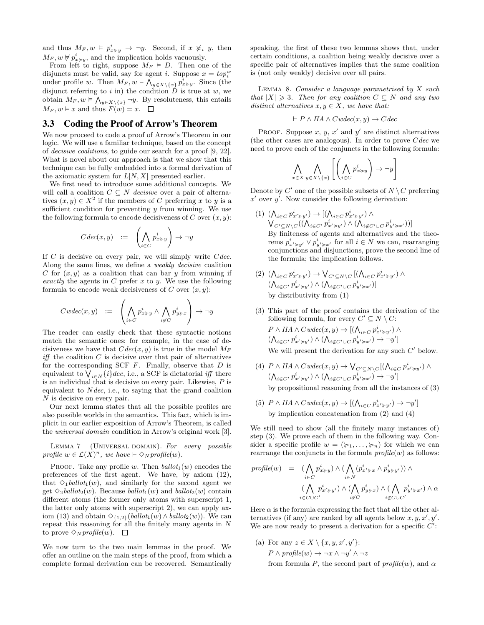and thus  $M_F, w \models p_{x \succcurlyeq y}^i \rightarrow \neg y$ . Second, if  $x \not\succcurlyeq_i y$ , then  $M_F, w \not\models p_{x \succcurlyeq y}^i$ , and the implication holds vacuously.

From left to right, suppose  $M_F \models D$ . Then one of the disjuncts must be valid, say for agent *i*. Suppose  $x = top_i^w$ under profile w. Then  $M_F, w \models \overline{\bigwedge}_{y \in X \setminus \{x\}} p_{x \succ y}^i$ . Since (the disjunct referring to i in) the condition  $\overrightarrow{D}$  is true at w, we obtain  $M_F, w \models \bigwedge_{y \in X \setminus \{x\}} \neg y$ . By resoluteness, this entails  $M_F, w \models x$  and thus  $F(w) = x$ .

## 3.3 Coding the Proof of Arrow's Theorem

We now proceed to code a proof of Arrow's Theorem in our logic. We will use a familiar technique, based on the concept of decisive coalitions, to guide our search for a proof [9, 22]. What is novel about our approach is that we show that this technique can be fully embedded into a formal derivation of the axiomatic system for  $L[N, X]$  presented earlier.

We first need to introduce some additional concepts. We will call a coalition  $C \subseteq N$  decisive over a pair of alternatives  $(x, y) \in X^2$  if the members of C preferring x to y is a sufficient condition for preventing  $y$  from winning. We use the following formula to encode decisiveness of  $C$  over  $(x, y)$ :

$$
C \, dec(x,y) \quad := \quad \left( \bigwedge_{i \in C} p_{x \succ y}^i \right) \to \neg y
$$

If  $C$  is decisive on every pair, we will simply write  $C$  dec. Along the same lines, we define a weakly decisive coalition C for  $(x, y)$  as a coalition that can bar y from winning if exactly the agents in C prefer x to y. We use the following formula to encode weak decisiveness of C over  $(x, y)$ :

$$
Cwdec(x,y) \quad := \quad \left( \bigwedge_{i \in C} p_{x \succcurlyeq y}^i \land \bigwedge_{i \not\in C} p_{y \succcurlyeq x}^i \right) \to \neg y
$$

The reader can easily check that these syntactic notions match the semantic ones; for example, in the case of decisiveness we have that  $Cdec(x, y)$  is true in the model  $M_F$  $\mathit{iff}$  the coalition  $C$  is decisive over that pair of alternatives for the corresponding SCF  $F$ . Finally, observe that  $D$  is equivalent to  $\bigvee_{i \in N} \{i\}$  dec, i.e., a SCF is dictatorial iff there is an individual that is decisive on every pair. Likewise,  $P$  is equivalent to  $N$  dec, i.e., to saying that the grand coalition N is decisive on every pair.

Our next lemma states that all the possible profiles are also possible worlds in the semantics. This fact, which is implicit in our earlier exposition of Arrow's Theorem, is called the universal domain condition in Arrow's original work [3].

LEMMA 7 (UNIVERSAL DOMAIN). For every possible profile  $w \in \mathcal{L}(X)^n$ , we have  $\vdash \Diamond_N$  profile(w).

PROOF. Take any profile w. Then  $ballot_1(w)$  encodes the preferences of the first agent. We have, by axiom (12), that  $\Diamond_1 \text{ball} \cdot \mathcal{L}_1(w)$ , and similarly for the second agent we get  $\Diamond_2 \text{ballot}_2(w)$ . Because ballot<sub>1</sub>(w) and ballot<sub>2</sub>(w) contain different atoms (the former only atoms with superscript 1, the latter only atoms with superscript 2), we can apply axiom (13) and obtain  $\Diamond_{\{1,2\}}(\mathit{ballot}_1(w) \land \mathit{ballot}_2(w))$ . We can repeat this reasoning for all the finitely many agents in  $N$ to prove  $\Diamond_N$  profile(w).  $\Box$ 

We now turn to the two main lemmas in the proof. We offer an outline on the main steps of the proof, from which a complete formal derivation can be recovered. Semantically

speaking, the first of these two lemmas shows that, under certain conditions, a coalition being weakly decisive over a specific pair of alternatives implies that the same coalition is (not only weakly) decisive over all pairs.

LEMMA 8. Consider a language parametrised by  $X$  such that  $|X| \geq 3$ . Then for any coalition  $C \subseteq N$  and any two distinct alternatives  $x, y \in X$ , we have that:

$$
\vdash P \land IIA \land Cwdec(x, y) \rightarrow Cdec
$$

PROOF. Suppose x, y, x' and y' are distinct alternatives (the other cases are analogous). In order to prove  $Cdec$  we need to prove each of the conjuncts in the following formula:

$$
\bigwedge_{x \in X} \bigwedge_{y \in X \setminus \{x\}} \left[ \left( \bigwedge_{i \in C} p_{x \succ y}^i \right) \to \neg y \right]
$$

Denote by  $C'$  one of the possible subsets of  $N \setminus C$  preferring  $x'$  over  $y'$ . Now consider the following derivation:

- (1)  $(\bigwedge_{i \in C} p_{x' \succ y'}^i) \to [(\bigwedge_{i \in C} p_{x' \succ y'}^i) \wedge$  $\bigvee_{C'\subseteq N\setminus C}((\bigwedge_{i\in C'}p_{x'\succcurlyeq y'}^{i})\wedge(\bigwedge_{i\not\in C'\cup C}p_{y'\succcurlyeq x'}^{i}))]$ By finiteness of agents and alternatives and the theorems  $p_{x' \succcurlyeq y'}^{i} \vee p_{y' \succcurlyeq x'}^{i}$  for all  $i \in N$  we can, rearranging conjunctions and disjunctions, prove the second line of the formula; the implication follows.
- (2)  $(\bigwedge_{i\in C} p_{x'\succcurlyeq y'}^{i}) \to \bigvee_{C'\subseteq N\setminus C} [(\bigwedge_{i\in C} p_{x'\succcurlyeq y'}^{i}) \land$  $(\bigwedge_{i \in C'} p_{x' \succcurlyeq y'}^i) \wedge (\bigwedge_{i \not\in C' \cup C} p_{y' \succcurlyeq x'}^i)]$ by distributivity from (1)
- (3) This part of the proof contains the derivation of the following formula, for every  $C' \subseteq N \setminus C$ :  $P \wedge \text{IIA} \wedge \text{Cwdec}(x, y) \rightarrow [(\bigwedge_{i \in C} p_{x' \succcurlyeq y'}^{i}) \wedge$  $(\bigwedge\nolimits_{i \in C'} p_{x' \succcurlyeq y'}^{i}) \wedge (\bigwedge\nolimits_{i \not\in C' \cup C} p_{y' \succcurlyeq x'}^{i}) \rightarrow \neg y']$ We will present the derivation for any such  $C'$  below.
- (4)  $P \wedge \text{IIA} \wedge \text{C} \text{wdec}(x, y) \rightarrow \bigvee_{C' \subseteq N \setminus C} [(\bigwedge_{i \in C} p_{x' \succ y'}^i) \wedge$  $(\bigwedge\nolimits_{i \in C'} p_{x' \succcurlyeq y'}^{i}) \wedge (\bigwedge\nolimits_{i \not\in C' \cup C} p_{y' \succcurlyeq x'}^{i}) \rightarrow \neg y' ]$ by propositional reasoning from all the instances of (3)
- (5)  $P \wedge \text{IIA} \wedge \text{C} \text{wdec}(x, y) \rightarrow \left[ \left( \bigwedge_{i \in C} p_{x' \succcurlyeq y'}^{i} \right) \rightarrow \neg y' \right]$ by implication concatenation from (2) and (4)

We still need to show (all the finitely many instances of) step (3). We prove each of them in the following way. Consider a specific profile  $w = (\succcurlyeq_1, \ldots, \succcurlyeq_n)$  for which we can rearrange the conjuncts in the formula  $profile(w)$  as follows:

$$
profile(w) = (\bigwedge_{i \in C} p_{x \succ y}^i) \land (\bigwedge_{i \in N} (p_{x' \succ x}^i \land p_{y \succ y'}^i)) \land (\bigwedge_{i \in C} p_{x' \succ y'}^i) \land (\bigwedge_{i \notin C} p_{y \succ x}^i) \land (\bigwedge_{i \notin C \cup C'} p_{y' \succ x'}^i) \land \alpha
$$

Here  $\alpha$  is the formula expressing the fact that all the other alternatives (if any) are ranked by all agents below  $x, y, x', y'$ . We are now ready to present a derivation for a specific  $C'$ :

(a) For any  $z \in X \setminus \{x, y, x', y'\}$ :  $P \wedge profile(w) \rightarrow \neg x \wedge \neg y' \wedge \neg z$ 

from formula P, the second part of  $\text{profile}(w)$ , and  $\alpha$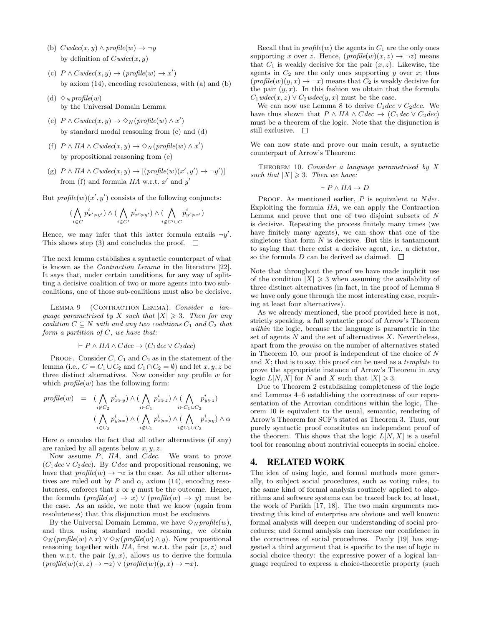- (b)  $Cwdec(x, y) \wedge profile(w) \rightarrow \neg y$ by definition of  $Cwdec(x, y)$
- (c)  $P \wedge C \text{wdec}(x, y) \rightarrow (profile(w) \rightarrow x')$ by axiom (14), encoding resoluteness, with (a) and (b)
- (d)  $\Diamond_N$  profile(w) by the Universal Domain Lemma
- (e)  $P \wedge C \text{wdec}(x, y) \rightarrow \Diamond_N(\text{profile}(w) \wedge x')$ by standard modal reasoning from (c) and (d)
- (f)  $P \wedge IIA \wedge Cwdec(x, y) \rightarrow \Diamond_N(profile(w) \wedge x')$ by propositional reasoning from (e)
- (g)  $P \wedge IIA \wedge Cwdec(x, y) \rightarrow [(profile(w)(x', y') \rightarrow \neg y')]$ from (f) and formula  $IIA$  w.r.t.  $x'$  and  $y'$

But  $\text{profile}(w)(x', y')$  consists of the following conjuncts:

$$
(\bigwedge_{i \in C} p_{x' \succcurlyeq y'}^{i}) \wedge (\bigwedge_{i \in C'} p_{x' \succcurlyeq y'}^{i}) \wedge (\bigwedge_{i \not\in C'} p_{y' \succcurlyeq x'}^{i})
$$

Hence, we may infer that this latter formula entails  $\neg y'$ . This shows step (3) and concludes the proof.  $\square$ 

The next lemma establishes a syntactic counterpart of what is known as the Contraction Lemma in the literature [22]. It says that, under certain conditions, for any way of splitting a decisive coalition of two or more agents into two subcoalitions, one of those sub-coalitions must also be decisive.

LEMMA 9 (CONTRACTION LEMMA). Consider a language parametrised by X such that  $|X| \geq 3$ . Then for any coalition  $C \subseteq N$  with and any two coalitions  $C_1$  and  $C_2$  that form a partition of C, we have that:

$$
\vdash P \land IIA \land Cdec \rightarrow (C_1 dec \lor C_2 dec)
$$

PROOF. Consider  $C, C_1$  and  $C_2$  as in the statement of the lemma (i.e.,  $C = C_1 \cup C_2$  and  $C_1 \cap C_2 = \emptyset$ ) and let  $x, y, z$  be three distinct alternatives. Now consider any profile  $w$  for which  $profile(w)$  has the following form:

$$
\begin{array}{rcl}\textit{profile}(w) & = & (\bigwedge_{i \not\in C_2} p^i_{x \succcurlyeq y}) \land (\bigwedge_{i \in C_1} p^i_{x \succcurlyeq z}) \land (\bigwedge_{i \in C_1 \cup C_2} p^i_{y \succcurlyeq z}) \\ & & (\bigwedge_{i \in C_2} p^i_{y \succcurlyeq x}) \land (\bigwedge_{i \not\in C_1} p^i_{z \succcurlyeq x}) \land (\bigwedge_{i \not\in C_1 \cup C_2} p^i_{z \succcurlyeq y}) \land \alpha \end{array}
$$

Here  $\alpha$  encodes the fact that all other alternatives (if any) are ranked by all agents below  $x, y, z$ .

Now assume P, IIA, and Cdec. We want to prove  $(C_1 \text{dec} \vee C_2 \text{dec})$ . By C dec and propositional reasoning, we have that  $profile(w) \rightarrow \neg z$  is the case. As all other alternatives are ruled out by P and  $\alpha$ , axiom (14), encoding resoluteness, enforces that  $x$  or  $y$  must be the outcome. Hence, the formula  $(p \text{rofile}(w) \rightarrow x) \vee (p \text{rofile}(w) \rightarrow y)$  must be the case. As an aside, we note that we know (again from resoluteness) that this disjunction must be exclusive.

By the Universal Domain Lemma, we have  $\Diamond_N$  profile(w), and thus, using standard modal reasoning, we obtain  $\Diamond_N(\mathit{profile}(w) \land x) \lor \Diamond_N(\mathit{profile}(w) \land y)$ . Now propositional reasoning together with  $IIA$ , first w.r.t. the pair  $(x, z)$  and then w.r.t. the pair  $(y, x)$ , allows us to derive the formula  $(p \text{rofile}(w)(x, z) \rightarrow \neg z) \vee (p \text{rofile}(w)(y, x) \rightarrow \neg x).$ 

Recall that in  $profile(w)$  the agents in  $C_1$  are the only ones supporting x over z. Hence,  $(p \circ \text{refile}(w)(x, z) \rightarrow \neg z)$  means that  $C_1$  is weakly decisive for the pair  $(x, z)$ . Likewise, the agents in  $C_2$  are the only ones supporting y over x; thus  $(profile(w)(y, x) \rightarrow \neg x)$  means that  $C_2$  is weakly decisive for the pair  $(y, x)$ . In this fashion we obtain that the formula  $C_1 \text{wdec}(x, z) \vee C_2 \text{wdec}(y, x)$  must be the case.

We can now use Lemma 8 to derive  $C_1$ dec  $\vee C_2$ dec. We have thus shown that  $P \wedge IIA \wedge Cdec \rightarrow (C_1 dec \vee C_2 dec)$ must be a theorem of the logic. Note that the disjunction is still exclusive.  $\Box$ 

We can now state and prove our main result, a syntactic counterpart of Arrow's Theorem:

THEOREM 10. Consider a language parametrised by  $X$ such that  $|X| \geq 3$ . Then we have:

$$
\vdash P \land IIA \to D
$$

PROOF. As mentioned earlier,  $P$  is equivalent to  $N$  dec. Exploiting the formula IIA, we can apply the Contraction Lemma and prove that one of two disjoint subsets of N is decisive. Repeating the process finitely many times (we have finitely many agents), we can show that one of the singletons that form  $N$  is decisive. But this is tantamount to saying that there exist a decisive agent, i.e., a dictator, so the formula  $D$  can be derived as claimed.  $\Box$ 

Note that throughout the proof we have made implicit use of the condition  $|X| \geq 3$  when assuming the availability of three distinct alternatives (in fact, in the proof of Lemma 8 we have only gone through the most interesting case, requiring at least four alternatives).

As we already mentioned, the proof provided here is not, strictly speaking, a full syntactic proof of Arrow's Theorem within the logic, because the language is parametric in the set of agents  $N$  and the set of alternatives  $X$ . Nevertheless, apart from the proviso on the number of alternatives stated in Theorem 10, our proof is independent of the choice of N and  $X$ ; that is to say, this proof can be used as a *template* to prove the appropriate instance of Arrow's Theorem in any logic  $L[N, X]$  for N and X such that  $|X| \geq 3$ .

Due to Theorem 2 establishing completeness of the logic and Lemmas 4–6 establishing the correctness of our representation of the Arrovian conditions within the logic, Theorem 10 is equivalent to the usual, semantic, rendering of Arrow's Theorem for SCF's stated as Theorem 3. Thus, our purely syntactic proof constitutes an independent proof of the theorem. This shows that the logic  $L[N, X]$  is a useful tool for reasoning about nontrivial concepts in social choice.

## 4. RELATED WORK

The idea of using logic, and formal methods more generally, to subject social procedures, such as voting rules, to the same kind of formal analysis routinely applied to algorithms and software systems can be traced back to, at least, the work of Parikh [17, 18]. The two main arguments motivating this kind of enterprise are obvious and well known: formal analysis will deepen our understanding of social procedures; and formal analysis can increase our confidence in the correctness of social procedures. Pauly [19] has suggested a third argument that is specific to the use of logic in social choice theory: the expressive power of a logical language required to express a choice-theoretic property (such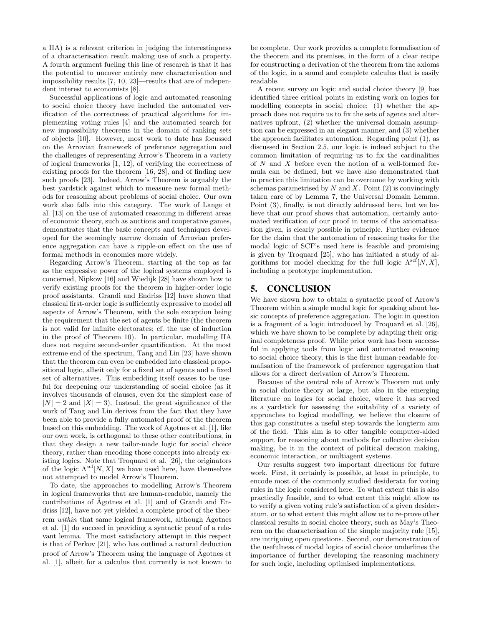a IIA) is a relevant criterion in judging the interestingness of a characterisation result making use of such a property. A fourth argument fueling this line of research is that it has the potential to uncover entirely new characterisation and impossibility results [7, 10, 23]—results that are of independent interest to economists [8].

Successful applications of logic and automated reasoning to social choice theory have included the automated verification of the correctness of practical algorithms for implementing voting rules [4] and the automated search for new impossibility theorems in the domain of ranking sets of objects [10]. However, most work to date has focussed on the Arrovian framework of preference aggregation and the challenges of representing Arrow's Theorem in a variety of logical frameworks [1, 12], of verifying the correctness of existing proofs for the theorem [16, 28], and of finding new such proofs [23]. Indeed, Arrow's Theorem is arguably the best yardstick against which to measure new formal methods for reasoning about problems of social choice. Our own work also falls into this category. The work of Lange et al. [13] on the use of automated reasoning in different areas of economic theory, such as auctions and cooperative games, demonstrates that the basic concepts and techniques developed for the seemingly narrow domain of Arrovian preference aggregation can have a ripple-on effect on the use of formal methods in economics more widely.

Regarding Arrow's Theorem, starting at the top as far as the expressive power of the logical systems employed is concerned, Nipkow [16] and Wiedijk [28] have shown how to verify existing proofs for the theorem in higher-order logic proof assistants. Grandi and Endriss [12] have shown that classical first-order logic is sufficiently expressive to model all aspects of Arrow's Theorem, with the sole exception being the requirement that the set of agents be finite (the theorem is not valid for infinite electorates; cf. the use of induction in the proof of Theorem 10). In particular, modelling IIA does not require second-order quantification. At the most extreme end of the spectrum, Tang and Lin [23] have shown that the theorem can even be embedded into classical propositional logic, albeit only for a fixed set of agents and a fixed set of alternatives. This embedding itself ceases to be useful for deepening our understanding of social choice (as it involves thousands of clauses, even for the simplest case of  $|N| = 2$  and  $|X| = 3$ ). Instead, the great significance of the work of Tang and Lin derives from the fact that they have been able to provide a fully automated proof of the theorem based on this embedding. The work of Ågotnes et al. [1], like our own work, is orthogonal to these other contributions, in that they design a new tailor-made logic for social choice theory, rather than encoding those concepts into already existing logics. Note that Troquard et al. [26], the originators of the logic  $\Lambda^{\text{scf}}[N, X]$  we have used here, have themselves not attempted to model Arrow's Theorem.

To date, the approaches to modelling Arrow's Theorem in logical frameworks that are human-readable, namely the contributions of  $\tilde{A}$ gotnes et al. [1] and of Grandi and Endriss [12], have not yet yielded a complete proof of the theorem *within* that same logical framework, although  $\AA$ gotnes et al. [1] do succeed in providing a syntactic proof of a relevant lemma. The most satisfactory attempt in this respect is that of Perkov [21], who has outlined a natural deduction proof of Arrow's Theorem using the language of Agotnes et al. [1], albeit for a calculus that currently is not known to be complete. Our work provides a complete formalisation of the theorem and its premises, in the form of a clear recipe for constructing a derivation of the theorem from the axioms of the logic, in a sound and complete calculus that is easily readable.

A recent survey on logic and social choice theory [9] has identified three critical points in existing work on logics for modelling concepts in social choice: (1) whether the approach does not require us to fix the sets of agents and alternatives upfront, (2) whether the universal domain assumption can be expressed in an elegant manner, and (3) whether the approach facilitates automation. Regarding point (1), as discussed in Section 2.5, our logic is indeed subject to the common limitation of requiring us to fix the cardinalities of N and X before even the notion of a well-formed formula can be defined, but we have also demonstrated that in practice this limitation can be overcome by working with schemas parametrised by  $N$  and  $X$ . Point  $(2)$  is convincingly taken care of by Lemma 7, the Universal Domain Lemma. Point (3), finally, is not directly addressed here, but we believe that our proof shows that automation, certainly automated verification of our proof in terms of the axiomatisation given, is clearly possible in principle. Further evidence for the claim that the automation of reasoning tasks for the modal logic of SCF's used here is feasible and promising is given by Troquard [25], who has initiated a study of algorithms for model checking for the full logic  $\Lambda^{\text{scf}}[N, X]$ , including a prototype implementation.

## 5. CONCLUSION

We have shown how to obtain a syntactic proof of Arrow's Theorem within a simple modal logic for speaking about basic concepts of preference aggregation. The logic in question is a fragment of a logic introduced by Troquard et al. [26], which we have shown to be complete by adapting their original completeness proof. While prior work has been successful in applying tools from logic and automated reasoning to social choice theory, this is the first human-readable formalisation of the framework of preference aggregation that allows for a direct derivation of Arrow's Theorem.

Because of the central role of Arrow's Theorem not only in social choice theory at large, but also in the emerging literature on logics for social choice, where it has served as a yardstick for assessing the suitability of a variety of approaches to logical modelling, we believe the closure of this gap constitutes a useful step towards the longterm aim of the field. This aim is to offer tangible computer-aided support for reasoning about methods for collective decision making, be it in the context of political decision making, economic interaction, or multiagent systems.

Our results suggest two important directions for future work. First, it certainly is possible, at least in principle, to encode most of the commonly studied desiderata for voting rules in the logic considered here. To what extent this is also practically feasible, and to what extent this might allow us to verify a given voting rule's satisfaction of a given desideratum, or to what extent this might allow us to re-prove other classical results in social choice theory, such as May's Theorem on the characterisation of the simple majority rule [15], are intriguing open questions. Second, our demonstration of the usefulness of modal logics of social choice underlines the importance of further developing the reasoning machinery for such logic, including optimised implementations.